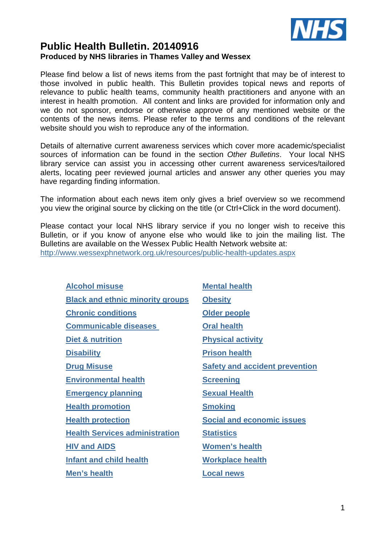

# **Public Health Bulletin. 20140916 Produced by NHS libraries in Thames Valley and Wessex**

Please find below a list of news items from the past fortnight that may be of interest to those involved in public health. This Bulletin provides topical news and reports of relevance to public health teams, community health practitioners and anyone with an interest in health promotion. All content and links are provided for information only and we do not sponsor, endorse or otherwise approve of any mentioned website or the contents of the news items. Please refer to the terms and conditions of the relevant website should you wish to reproduce any of the information.

Details of alternative current awareness services which cover more academic/specialist sources of information can be found in the section Other Bulletins. Your local NHS library service can assist you in accessing other current awareness services/tailored alerts, locating peer reviewed journal articles and answer any other queries you may have regarding finding information.

The information about each news item only gives a brief overview so we recommend you view the original source by clicking on the title (or Ctrl+Click in the word document).

Please contact your local NHS library service if you no longer wish to receive this Bulletin, or if you know of anyone else who would like to join the mailing list. The Bulletins are available on the Wessex Public Health Network website at: http://www.wessexphnetwork.org.uk/resources/public-health-updates.aspx

| <b>Alcohol misuse</b>                   | <b>Mental health</b>                  |
|-----------------------------------------|---------------------------------------|
| <b>Black and ethnic minority groups</b> | <b>Obesity</b>                        |
| <b>Chronic conditions</b>               | Older people                          |
| <b>Communicable diseases</b>            | <b>Oral health</b>                    |
| Diet & nutrition                        | <b>Physical activity</b>              |
| <b>Disability</b>                       | <b>Prison health</b>                  |
| <b>Drug Misuse</b>                      | <b>Safety and accident prevention</b> |
| <b>Environmental health</b>             | <b>Screening</b>                      |
| <b>Emergency planning</b>               | <b>Sexual Health</b>                  |
| <b>Health promotion</b>                 | <b>Smoking</b>                        |
| <b>Health protection</b>                | <b>Social and economic issues</b>     |
| <b>Health Services administration</b>   | <b>Statistics</b>                     |
| <b>HIV and AIDS</b>                     | <b>Women's health</b>                 |
| <b>Infant and child health</b>          | <b>Workplace health</b>               |
| Men's health                            | <b>Local news</b>                     |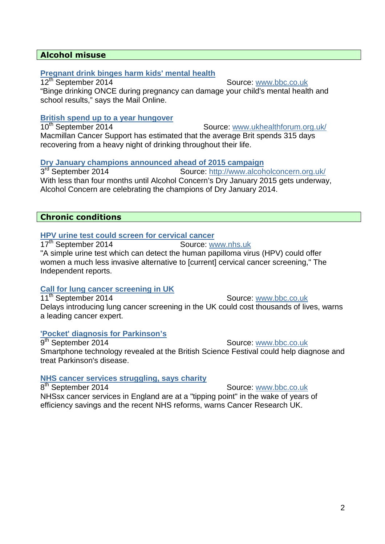## **Alcohol misuse**

#### **Pregnant drink binges harm kids' mental health**

12<sup>th</sup> September 2014 Source: www.bbc.co.uk "Binge drinking ONCE during pregnancy can damage your child's mental health and school results," says the Mail Online.

# **British spend up to a year hungover**

Source: www.ukhealthforum.org.uk/ Macmillan Cancer Support has estimated that the average Brit spends 315 days recovering from a heavy night of drinking throughout their life.

#### **Dry January champions announced ahead of 2015 campaign**

3<sup>rd</sup> September 2014 Source: http://www.alcoholconcern.org.uk/ With less than four months until Alcohol Concern's Dry January 2015 gets underway, Alcohol Concern are celebrating the champions of Dry January 2014.

## **Chronic conditions**

## **HPV urine test could screen for cervical cancer**

17<sup>th</sup> September 2014 Source: www.nhs.uk "A simple urine test which can detect the human papilloma virus (HPV) could offer women a much less invasive alternative to [current] cervical cancer screening," The Independent reports.

## **Call for lung cancer screening in UK**

11<sup>th</sup> September 2014 Source: www.bbc.co.uk Delays introducing lung cancer screening in the UK could cost thousands of lives, warns a leading cancer expert.

## **'Pocket' diagnosis for Parkinson's**

8<sup>th</sup> September 2014

9<sup>th</sup> September 2014 Source: www.bbc.co.uk Smartphone technology revealed at the British Science Festival could help diagnose and treat Parkinson's disease.

## **NHS cancer services struggling, says charity**

Source: www.bbc.co.uk

NHSsx cancer services in England are at a "tipping point" in the wake of years of efficiency savings and the recent NHS reforms, warns Cancer Research UK.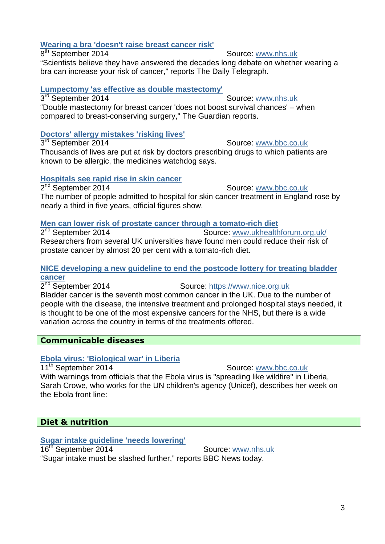# **Wearing a bra 'doesn't raise breast cancer risk'**

#### $8<sup>th</sup>$  September 2014

#### Source: www.nhs.uk

"Scientists believe they have answered the decades long debate on whether wearing a bra can increase your risk of cancer," reports The Daily Telegraph.

## **Lumpectomy 'as effective as double mastectomy'**

3<sup>rd</sup> September 2014 Source: www.nhs.uk "Double mastectomy for breast cancer 'does not boost survival chances' – when compared to breast-conserving surgery," The Guardian reports.

## **Doctors' allergy mistakes 'risking lives'**

3<sup>rd</sup> September 2014

#### Source: www.bbc.co.uk

Thousands of lives are put at risk by doctors prescribing drugs to which patients are known to be allergic, the medicines watchdog says.

## **Hospitals see rapid rise in skin cancer**

2<sup>nd</sup> September 2014 Source: www.bbc.co.uk The number of people admitted to hospital for skin cancer treatment in England rose by nearly a third in five years, official figures show.

## **Men can lower risk of prostate cancer through a tomato-rich diet**

 $2<sup>nd</sup>$  September 2014 Source: www.ukhealthforum.org.uk/ Researchers from several UK universities have found men could reduce their risk of prostate cancer by almost 20 per cent with a tomato-rich diet.

## **NICE developing a new guideline to end the postcode lottery for treating bladder cancer**

2<sup>nd</sup> September 2014 Source: https://www.nice.org.uk Bladder cancer is the seventh most common cancer in the UK. Due to the number of people with the disease, the intensive treatment and prolonged hospital stays needed, it is thought to be one of the most expensive cancers for the NHS, but there is a wide variation across the country in terms of the treatments offered.

# **Communicable diseases**

# **Ebola virus: 'Biological war' in Liberia**

11<sup>th</sup> September 2014 Source: www.bbc.co.uk

With warnings from officials that the Ebola virus is "spreading like wildfire" in Liberia, Sarah Crowe, who works for the UN children's agency (Unicef), describes her week on the Ebola front line:

# **Diet & nutrition**

## **Sugar intake guideline 'needs lowering'**

16<sup>th</sup> September 2014 Source: www.nhs.uk

"Sugar intake must be slashed further," reports BBC News today.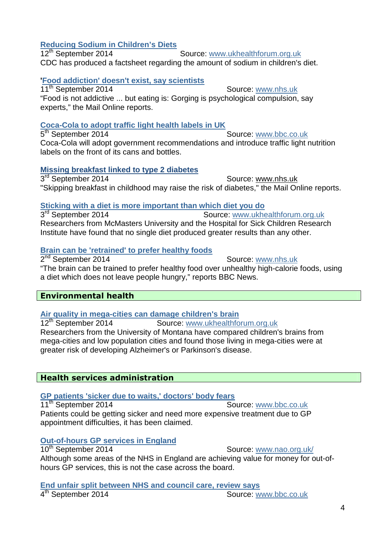# **Reducing Sodium in Children's Diets**

Source: www.ukhealthforum.org.uk CDC has produced a factsheet regarding the amount of sodium in children's diet.

# **'Food addiction' doesn't exist, say scientists**

11<sup>th</sup> September 2014 Source: www.nhs.uk "Food is not addictive ... but eating is: Gorging is psychological compulsion, say experts," the Mail Online reports.

# **Coca-Cola to adopt traffic light health labels in UK**

 $5<sup>th</sup>$  September 2014 Source: www.bbc.co.uk Coca-Cola will adopt government recommendations and introduce traffic light nutrition labels on the front of its cans and bottles.

# **Missing breakfast linked to type 2 diabetes**

3<sup>rd</sup> September 2014 **Source:** WWW.nhs.uk "Skipping breakfast in childhood may raise the risk of diabetes," the Mail Online reports.

# **Sticking with a diet is more important than which diet you do**

3<sup>rd</sup> September 2014 Source: www.ukhealthforum.org.uk Researchers from McMasters University and the Hospital for Sick Children Research Institute have found that no single diet produced greater results than any other.

# **Brain can be 'retrained' to prefer healthy foods**

2<sup>nd</sup> September 2014 **Source:** Source: www.nhs.uk "The brain can be trained to prefer healthy food over unhealthy high-calorie foods, using a diet which does not leave people hungry," reports BBC News.

# **Environmental health**

# **Air quality in mega-cities can damage children's brain**<br>12<sup>th</sup> September 2014 **Source:** www.ukhealthfo

Source: www.ukhealthforum.org.uk Researchers from the University of Montana have compared children's brains from mega-cities and low population cities and found those living in mega-cities were at greater risk of developing Alzheimer's or Parkinson's disease.

# **Health services administration**

# **GP patients 'sicker due to waits,' doctors' body fears**

11<sup>th</sup> September 2014 Source: www.bbc.co.uk Patients could be getting sicker and need more expensive treatment due to GP appointment difficulties, it has been claimed.

# **Out-of-hours GP services in England**

10<sup>th</sup> September 2014 Source: www.nao.org.uk/

Although some areas of the NHS in England are achieving value for money for out-ofhours GP services, this is not the case across the board.

**End unfair split between NHS and council care, review says**

Source: www.bbc.co.uk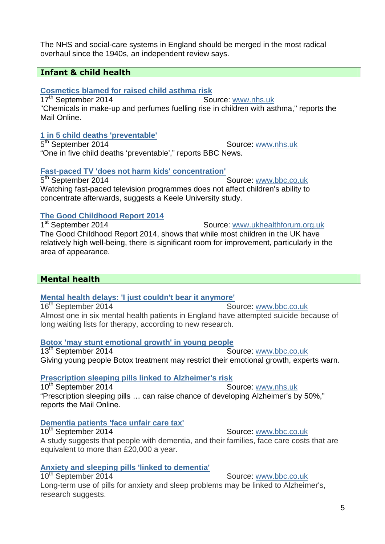**Mental health delays: 'I just couldn't bear it anymore'**

**Mental health** 

#### 16<sup>th</sup> September 2014 Source: www.bbc.co.uk Almost one in six mental health patients in England have attempted suicide because of long waiting lists for therapy, according to new research.

# **Botox 'may stunt emotional growth' in young people**

Source: www.bbc.co.uk Giving young people Botox treatment may restrict their emotional growth, experts warn.

# **Prescription sleeping pills linked to Alzheimer's risk**

10<sup>th</sup> September 2014 Source: www.nhs.uk "Prescription sleeping pills … can raise chance of developing Alzheimer's by 50%," reports the Mail Online.

# **Dementia patients 'face unfair care tax'**

10<sup>th</sup> September 2014 Source: www.bbc.co.uk A study suggests that people with dementia, and their families, face care costs that are equivalent to more than £20,000 a year.

# **Anxiety and sleeping pills 'linked to dementia'**

10<sup>th</sup> September 2014 Source: www.bbc.co.uk Long-term use of pills for anxiety and sleep problems may be linked to Alzheimer's, research suggests.

**Infant & child health** 

# **Cosmetics blamed for raised child asthma risk**

overhaul since the 1940s, an independent review says.

17<sup>th</sup> September 2014 Source: www.nhs.uk "Chemicals in make-up and perfumes fuelling rise in children with asthma," reports the Mail Online.

The NHS and social-care systems in England should be merged in the most radical

# **1 in 5 child deaths 'preventable'**

5<sup>th</sup> September 2014 Source: www.nhs.uk "One in five child deaths 'preventable'," reports BBC News.

# **Fast-paced TV 'does not harm kids' concentration'**

5<sup>th</sup> September 2014 Source: www.bbc.co.uk Watching fast-paced television programmes does not affect children's ability to concentrate afterwards, suggests a Keele University study.

#### **The Good Childhood Report 2014** 1<sup>st</sup> September 2014

# The Good Childhood Report 2014, shows that while most children in the UK have relatively high well-being, there is significant room for improvement, particularly in the area of appearance.

Source: www.ukhealthforum.org.uk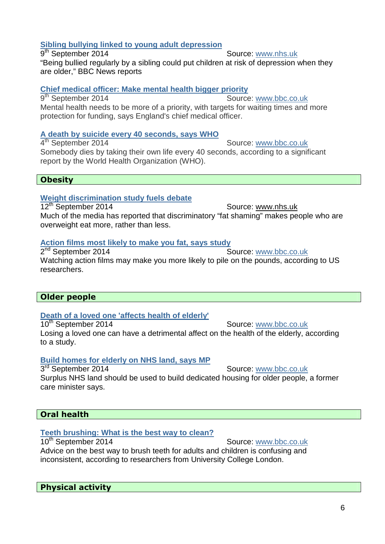## **Sibling bullying linked to young adult depression**

9<sup>th</sup> September 2014 Source: www.nhs.uk "Being bullied regularly by a sibling could put children at risk of depression when they are older," BBC News reports

## **Chief medical officer: Make mental health bigger priority**

9<sup>th</sup> September 2014 Source: www.bbc.co.uk Mental health needs to be more of a priority, with targets for waiting times and more protection for funding, says England's chief medical officer.

# **A death by suicide every 40 seconds, says WHO**

4<sup>th</sup> September 2014 Source: www.bbc.co.uk Somebody dies by taking their own life every 40 seconds, according to a significant report by the World Health Organization (WHO).

# **Obesity**

## **Weight discrimination study fuels debate**

12<sup>th</sup> September 2014 Source: www.nhs.uk Much of the media has reported that discriminatory "fat shaming" makes people who are overweight eat more, rather than less.

# **Action films most likely to make you fat, says study**

 $2<sup>nd</sup>$  September 2014 Source: www.bbc.co.uk Watching action films may make you more likely to pile on the pounds, according to US researchers.

# **Older people**

# **Death of a loved one 'affects health of elderly'**

10<sup>th</sup> September 2014 Source: www.bbc.co.uk Losing a loved one can have a detrimental affect on the health of the elderly, according to a study.

## **Build homes for elderly on NHS land, says MP**

Source: www.bbc.co.uk

3<sup>rd</sup> September 2014 Surplus NHS land should be used to build dedicated housing for older people, a former care minister says.

# **Oral health**

# **Teeth brushing: What is the best way to clean?**

10<sup>th</sup> September 2014 Source: www.bbc.co.uk Advice on the best way to brush teeth for adults and children is confusing and inconsistent, according to researchers from University College London.

# **Physical activity**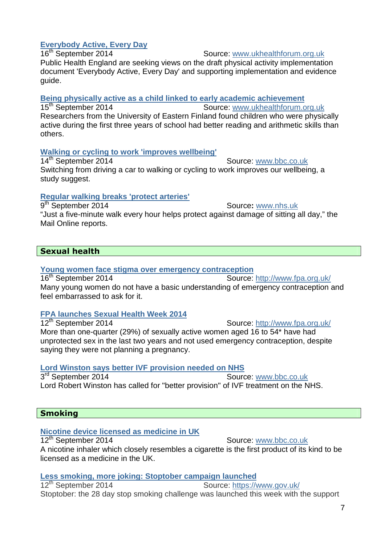# **Everybody Active, Every Day**

Source: www.ukhealthforum.org.uk

Public Health England are seeking views on the draft physical activity implementation document 'Everybody Active, Every Day' and supporting implementation and evidence guide.

**Being physically active as a child linked to early academic achievement**<br>15<sup>th</sup> September 2014 **Source:** www.ukhealthforum.com

Source: www.ukhealthforum.org.uk Researchers from the University of Eastern Finland found children who were physically active during the first three years of school had better reading and arithmetic skills than others.

# **Walking or cycling to work 'improves wellbeing'**

14<sup>th</sup> September 2014 Source: www.bbc.co.uk Switching from driving a car to walking or cycling to work improves our wellbeing, a study suggest.

# **Regular walking breaks 'protect arteries'**

9<sup>th</sup> September 2014 Source: www.nhs.uk "Just a five-minute walk every hour helps protect against damage of sitting all day," the Mail Online reports.

# **Sexual health**

# **Young women face stigma over emergency contraception**

16<sup>th</sup> September 2014 Source: http://www.fpa.org.uk/ Many young women do not have a basic understanding of emergency contraception and feel embarrassed to ask for it.

# **FPA launches Sexual Health Week 2014**

Source: http://www.fpa.org.uk/ More than one-quarter (29%) of sexually active women aged 16 to 54\* have had unprotected sex in the last two years and not used emergency contraception, despite saying they were not planning a pregnancy.

# **Lord Winston says better IVF provision needed on NHS**

3<sup>rd</sup> September 2014 Source: www.bbc.co.uk Lord Robert Winston has called for "better provision" of IVF treatment on the NHS.

# **Smoking**

# **Nicotine device licensed as medicine in UK**

12<sup>th</sup> September 2014 Source: www.bbc.co.uk A nicotine inhaler which closely resembles a cigarette is the first product of its kind to be licensed as a medicine in the UK.

**Less smoking, more joking: Stoptober campaign launched**

12<sup>th</sup> September 2014 Source: https://www.gov.uk/ Stoptober: the 28 day stop smoking challenge was launched this week with the support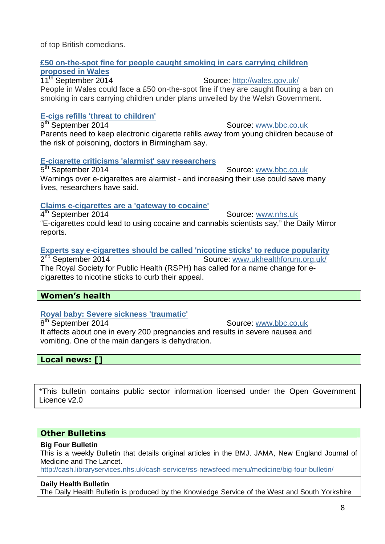of top British comedians.

## **£50 on-the-spot fine for people caught smoking in cars carrying children proposed in Wales**

11<sup>th</sup> September 2014 Source: http://wales.gov.uk/ People in Wales could face a £50 on-the-spot fine if they are caught flouting a ban on smoking in cars carrying children under plans unveiled by the Welsh Government.

# **E-cigs refills 'threat to children'**

9<sup>th</sup> September 2014 Source: www.bbc.co.uk Parents need to keep electronic cigarette refills away from young children because of the risk of poisoning, doctors in Birmingham say.

## **E-cigarette criticisms 'alarmist' say researchers**

5<sup>th</sup> September 2014 Source: www.bbc.co.uk Warnings over e-cigarettes are alarmist - and increasing their use could save many lives, researchers have said.

## **Claims e-cigarettes are a 'gateway to cocaine'**

4 th September 2014 Source**:** www.nhs.uk "E-cigarettes could lead to using cocaine and cannabis scientists say," the Daily Mirror reports.

# **Experts say e-cigarettes should be called 'nicotine sticks' to reduce popularity**

2<sup>nd</sup> September 2014 Source: www.ukhealthforum.org.uk/ The Royal Society for Public Health (RSPH) has called for a name change for ecigarettes to nicotine sticks to curb their appeal.

# **Women's health**

# **Royal baby: Severe sickness 'traumatic'**

 $8<sup>th</sup>$  September 2014 Source: www.bbc.co.uk It affects about one in every 200 pregnancies and results in severe nausea and vomiting. One of the main dangers is dehydration.

**Local news: []** 

\*This bulletin contains public sector information licensed under the Open Government Licence v2.0

# **Other Bulletins**

## **Big Four Bulletin**

This is a weekly Bulletin that details original articles in the BMJ, JAMA, New England Journal of Medicine and The Lancet.

http://cash.libraryservices.nhs.uk/cash-service/rss-newsfeed-menu/medicine/big-four-bulletin/

## **Daily Health Bulletin**

The Daily Health Bulletin is produced by the Knowledge Service of the West and South Yorkshire